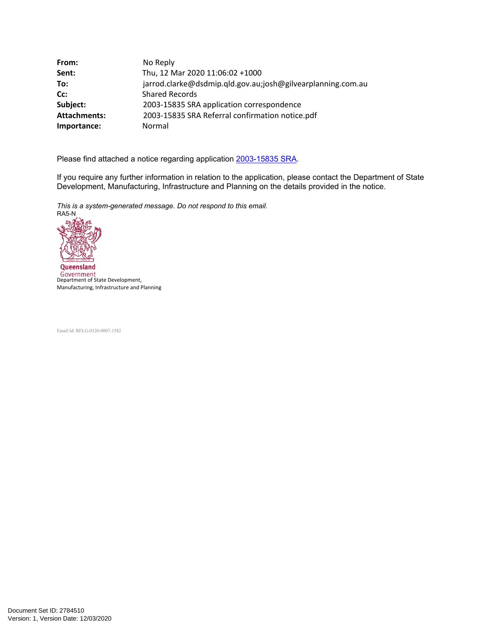| From:               | No Reply                                                    |
|---------------------|-------------------------------------------------------------|
| Sent:               | Thu, 12 Mar 2020 11:06:02 +1000                             |
| To:                 | jarrod.clarke@dsdmip.qld.gov.au;josh@gilvearplanning.com.au |
| Cc:                 | <b>Shared Records</b>                                       |
| Subject:            | 2003-15835 SRA application correspondence                   |
| <b>Attachments:</b> | 2003-15835 SRA Referral confirmation notice.pdf             |
| Importance:         | Normal                                                      |

Please find attached a notice regarding application [2003-15835 SRA.](https://protect-au.mimecast.com/s/GMo3CmOxJmsGLqQSG5Luu?domain=prod2.dev-assess.qld.gov.au)

If you require any further information in relation to the application, please contact the Department of State Development, Manufacturing, Infrastructure and Planning on the details provided in the notice.

*This is a system-generated message. Do not respond to this email.* RA5-N



Government<br>Department of State Development, Manufacturing, Infrastructure and Planning

Email Id: RFLG-0320-0007-1582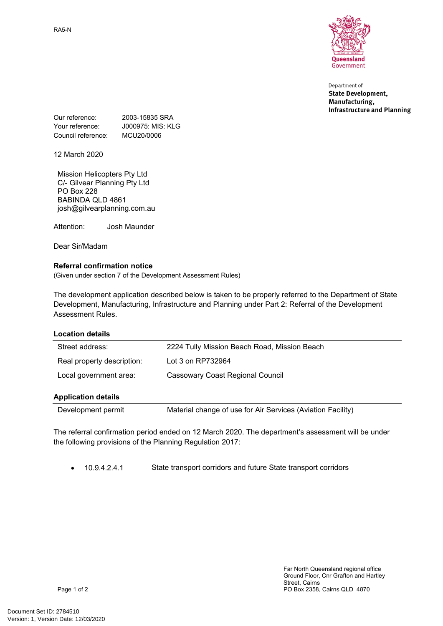RA5-N



Department of **State Development,** Manufacturing, **Infrastructure and Planning** 

Our reference: 2003-15835 SRA Your reference: **J000975: MIS: KLG** Council reference: MCU20/0006

12 March 2020

Mission Helicopters Pty Ltd C/- Gilvear Planning Pty Ltd PO Box 228 BABINDA QLD 4861 josh@gilvearplanning.com.au

Attention: Josh Maunder

Dear Sir/Madam

## **Referral confirmation notice**

(Given under section 7 of the Development Assessment Rules)

The development application described below is taken to be properly referred to the Department of State Development, Manufacturing, Infrastructure and Planning under Part 2: Referral of the Development Assessment Rules.

## **Location details**

| Street address:            | 2224 Tully Mission Beach Road, Mission Beach |  |
|----------------------------|----------------------------------------------|--|
| Real property description: | Lot 3 on RP732964                            |  |
| Local government area:     | Cassowary Coast Regional Council             |  |
| <b>Application details</b> |                                              |  |

Development permit Material change of use for Air Services (Aviation Facility)

The referral confirmation period ended on 12 March 2020. The department's assessment will be under the following provisions of the Planning Regulation 2017:

10.9.4.2.4.1 State transport corridors and future State transport corridors